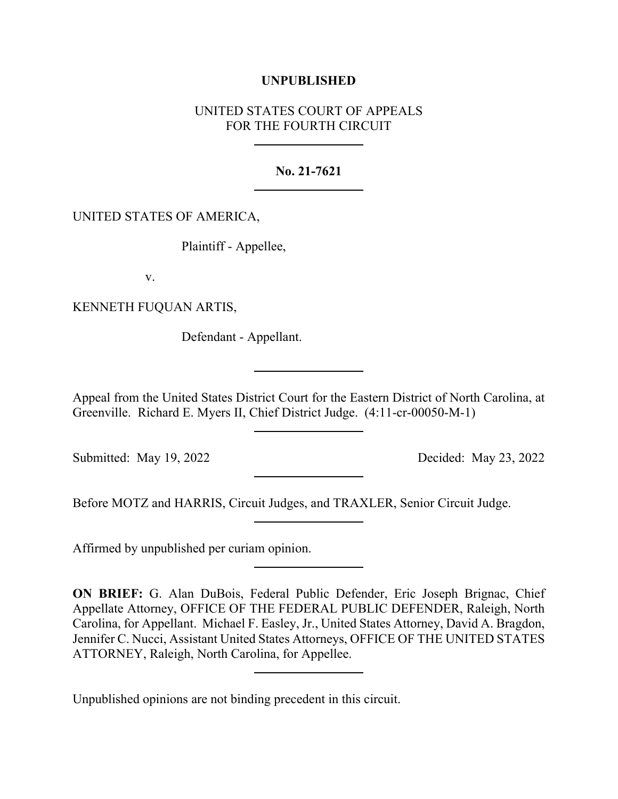## **UNPUBLISHED**

## UNITED STATES COURT OF APPEALS FOR THE FOURTH CIRCUIT

## **No. 21-7621**

## UNITED STATES OF AMERICA,

Plaintiff - Appellee,

v.

KENNETH FUQUAN ARTIS,

Defendant - Appellant.

Appeal from the United States District Court for the Eastern District of North Carolina, at Greenville. Richard E. Myers II, Chief District Judge. (4:11-cr-00050-M-1)

Submitted: May 19, 2022 Decided: May 23, 2022

Before MOTZ and HARRIS, Circuit Judges, and TRAXLER, Senior Circuit Judge.

Affirmed by unpublished per curiam opinion.

**ON BRIEF:** G. Alan DuBois, Federal Public Defender, Eric Joseph Brignac, Chief Appellate Attorney, OFFICE OF THE FEDERAL PUBLIC DEFENDER, Raleigh, North Carolina, for Appellant. Michael F. Easley, Jr., United States Attorney, David A. Bragdon, Jennifer C. Nucci, Assistant United States Attorneys, OFFICE OF THE UNITED STATES ATTORNEY, Raleigh, North Carolina, for Appellee.

Unpublished opinions are not binding precedent in this circuit.